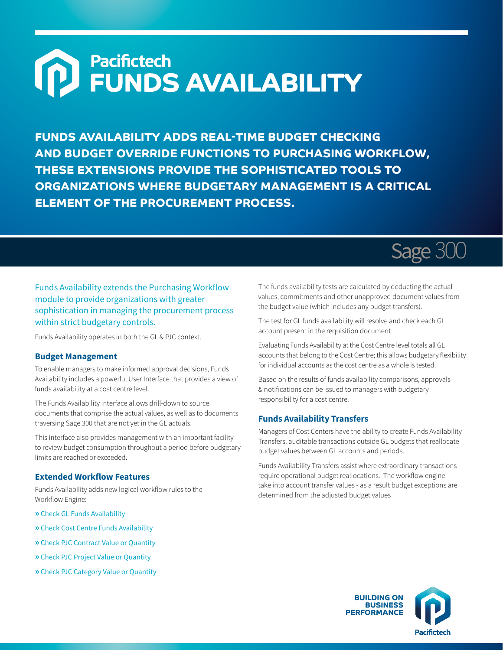# Pacifictech<br>FUNDS AVAILABILITY  $\Omega$

**FUNDS AVAILABILITY ADDS REAL-TIME BUDGET CHECKING AND BUDGET OVERRIDE FUNCTIONS TO PURCHASING WORKFLOW, THESE EXTENSIONS PROVIDE THE SOPHISTICATED TOOLS TO ORGANIZATIONS WHERE BUDGETARY MANAGEMENT IS A CRITICAL ELEMENT OF THE PROCUREMENT PROCESS.**

## Sage 300

### Funds Availability extends the Purchasing Workflow module to provide organizations with greater sophistication in managing the procurement process within strict budgetary controls.

Funds Availability operates in both the GL & PJC context.

#### **Budget Management**

To enable managers to make informed approval decisions, Funds Availability includes a powerful User Interface that provides a view of funds availability at a cost centre level.

The Funds Availability interface allows drill-down to source documents that comprise the actual values, as well as to documents traversing Sage 300 that are not yet in the GL actuals.

This interface also provides management with an important facility to review budget consumption throughout a period before budgetary limits are reached or exceeded.

#### **Extended Workflow Features**

Funds Availability adds new logical workflow rules to the Workflow Engine:

- **»** Check GL Funds Availability
- **»** Check Cost Centre Funds Availability
- **»** Check PJC Contract Value or Quantity
- **»** Check PJC Project Value or Quantity
- **»** Check PJC Category Value or Quantity

The funds availability tests are calculated by deducting the actual values, commitments and other unapproved document values from the budget value (which includes any budget transfers).

The test for GL funds availability will resolve and check each GL account present in the requisition document.

Evaluating Funds Availability at the Cost Centre level totals all GL accounts that belong to the Cost Centre; this allows budgetary flexibility for individual accounts as the cost centre as a whole is tested.

Based on the results of funds availability comparisons, approvals & notifications can be issued to managers with budgetary responsibility for a cost centre.

#### **Funds Availability Transfers**

Managers of Cost Centers have the ability to create Funds Availability Transfers, auditable transactions outside GL budgets that reallocate budget values between GL accounts and periods.

Funds Availability Transfers assist where extraordinary transactions require operational budget reallocations. The workflow engine take into account transfer values - as a result budget exceptions are determined from the adjusted budget values